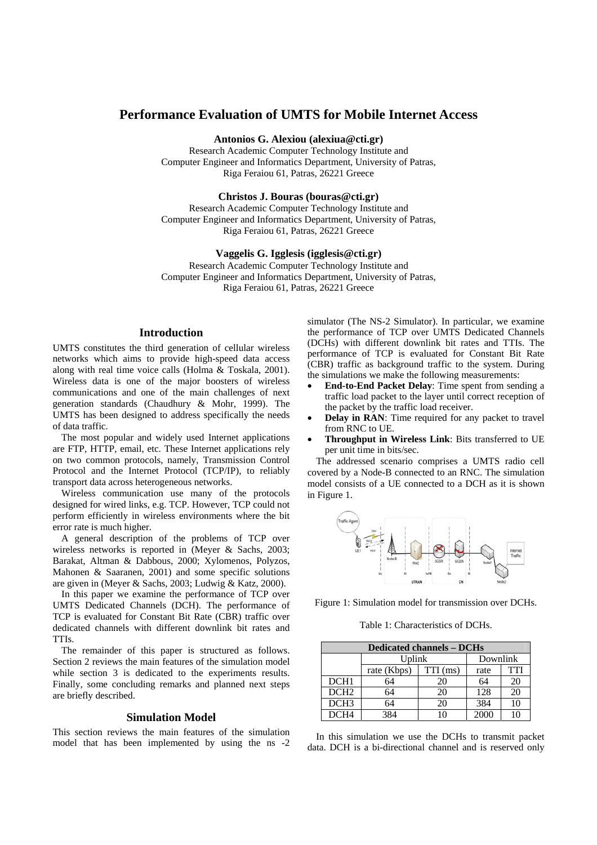# **Performance Evaluation of UMTS for Mobile Internet Access**

**Antonios G. Alexiou (alexiua@cti.gr)** 

Research Academic Computer Technology Institute and Computer Engineer and Informatics Department, University of Patras, Riga Feraiou 61, Patras, 26221 Greece

**Christos J. Bouras (bouras@cti.gr)** 

Research Academic Computer Technology Institute and Computer Engineer and Informatics Department, University of Patras, Riga Feraiou 61, Patras, 26221 Greece

**Vaggelis G. Igglesis (igglesis@cti.gr)** 

Research Academic Computer Technology Institute and Computer Engineer and Informatics Department, University of Patras, Riga Feraiou 61, Patras, 26221 Greece

## **Introduction**

UMTS constitutes the third generation of cellular wireless networks which aims to provide high-speed data access along with real time voice calls (Holma & Toskala, 2001). Wireless data is one of the major boosters of wireless communications and one of the main challenges of next generation standards (Chaudhury & Mohr, 1999). The UMTS has been designed to address specifically the needs of data traffic.

The most popular and widely used Internet applications are FTP, HTTP, email, etc. These Internet applications rely on two common protocols, namely, Transmission Control Protocol and the Internet Protocol (TCP/IP), to reliably transport data across heterogeneous networks.

Wireless communication use many of the protocols designed for wired links, e.g. TCP. However, TCP could not perform efficiently in wireless environments where the bit error rate is much higher.

A general description of the problems of TCP over wireless networks is reported in (Meyer & Sachs, 2003; Barakat, Altman & Dabbous, 2000; Xylomenos, Polyzos, Mahonen & Saaranen, 2001) and some specific solutions are given in (Meyer & Sachs, 2003; Ludwig & Katz, 2000).

In this paper we examine the performance of TCP over UMTS Dedicated Channels (DCH). The performance of TCP is evaluated for Constant Bit Rate (CBR) traffic over dedicated channels with different downlink bit rates and TTIs.

The remainder of this paper is structured as follows. Section 2 reviews the main features of the simulation model while section 3 is dedicated to the experiments results. Finally, some concluding remarks and planned next steps are briefly described.

### **Simulation Model**

This section reviews the main features of the simulation model that has been implemented by using the ns -2 simulator (The NS-2 Simulator). In particular, we examine the performance of TCP over UMTS Dedicated Channels (DCHs) with different downlink bit rates and TTIs. The performance of TCP is evaluated for Constant Bit Rate (CBR) traffic as background traffic to the system. During the simulations we make the following measurements:

- **End-to-End Packet Delay**: Time spent from sending a traffic load packet to the layer until correct reception of the packet by the traffic load receiver.
- **Delay in RAN**: Time required for any packet to travel from RNC to UE.
- **Throughput in Wireless Link**: Bits transferred to UE per unit time in bits/sec.

The addressed scenario comprises a UMTS radio cell covered by a Node-B connected to an RNC. The simulation model consists of a UE connected to a DCH as it is shown in Figure 1.



Figure 1: Simulation model for transmission over DCHs.

Table 1: Characteristics of DCHs.

| <b>Dedicated channels – DCHs</b> |             |            |          |            |
|----------------------------------|-------------|------------|----------|------------|
|                                  | Uplink      |            | Downlink |            |
|                                  | rate (Kbps) | $TTI$ (ms) | rate     | <b>TTI</b> |
| DCH <sub>1</sub>                 | 64          | 20         | 64       | 20         |
| DCH <sub>2</sub>                 | 64          | 20         | 128      | 20         |
| DCH <sub>3</sub>                 | 64          | 20         | 384      | 10         |
| DCH <sub>4</sub>                 | 384         |            | 2000     |            |

In this simulation we use the DCHs to transmit packet data. DCH is a bi-directional channel and is reserved only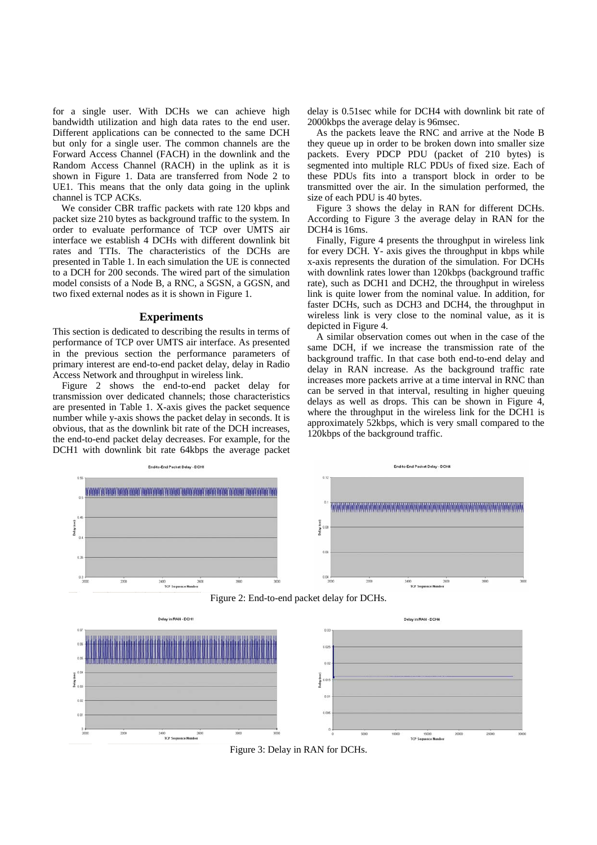for a single user. With DCHs we can achieve high bandwidth utilization and high data rates to the end user. Different applications can be connected to the same DCH but only for a single user. The common channels are the Forward Access Channel (FACH) in the downlink and the Random Access Channel (RACH) in the uplink as it is shown in Figure 1. Data are transferred from Node 2 to UE1. This means that the only data going in the uplink channel is TCP ACKs.

We consider CBR traffic packets with rate 120 kbps and packet size 210 bytes as background traffic to the system. In order to evaluate performance of TCP over UMTS air interface we establish 4 DCHs with different downlink bit rates and TTIs. The characteristics of the DCHs are presented in Table 1. In each simulation the UE is connected to a DCH for 200 seconds. The wired part of the simulation model consists of a Node B, a RNC, a SGSN, a GGSN, and two fixed external nodes as it is shown in Figure 1.

#### **Experiments**

This section is dedicated to describing the results in terms of performance of TCP over UMTS air interface. As presented in the previous section the performance parameters of primary interest are end-to-end packet delay, delay in Radio Access Network and throughput in wireless link.

Figure 2 shows the end-to-end packet delay for transmission over dedicated channels; those characteristics are presented in Table 1. X-axis gives the packet sequence number while y-axis shows the packet delay in seconds. It is obvious, that as the downlink bit rate of the DCH increases, the end-to-end packet delay decreases. For example, for the DCH1 with downlink bit rate 64kbps the average packet delay is 0.51sec while for DCH4 with downlink bit rate of 2000kbps the average delay is 96msec.

As the packets leave the RNC and arrive at the Node B they queue up in order to be broken down into smaller size packets. Every PDCP PDU (packet of 210 bytes) is segmented into multiple RLC PDUs of fixed size. Each of these PDUs fits into a transport block in order to be transmitted over the air. In the simulation performed, the size of each PDU is 40 bytes.

Figure 3 shows the delay in RAN for different DCHs. According to Figure 3 the average delay in RAN for the DCH4 is 16ms.

Finally, Figure 4 presents the throughput in wireless link for every DCH. Y- axis gives the throughput in kbps while x-axis represents the duration of the simulation. For DCHs with downlink rates lower than 120kbps (background traffic rate), such as DCH1 and DCH2, the throughput in wireless link is quite lower from the nominal value. In addition, for faster DCHs, such as DCH3 and DCH4, the throughput in wireless link is very close to the nominal value, as it is depicted in Figure 4.

A similar observation comes out when in the case of the same DCH, if we increase the transmission rate of the background traffic. In that case both end-to-end delay and delay in RAN increase. As the background traffic rate increases more packets arrive at a time interval in RNC than can be served in that interval, resulting in higher queuing delays as well as drops. This can be shown in Figure 4, where the throughput in the wireless link for the DCH1 is approximately 52kbps, which is very small compared to the 120kbps of the background traffic.



Figure 3: Delay in RAN for DCHs.